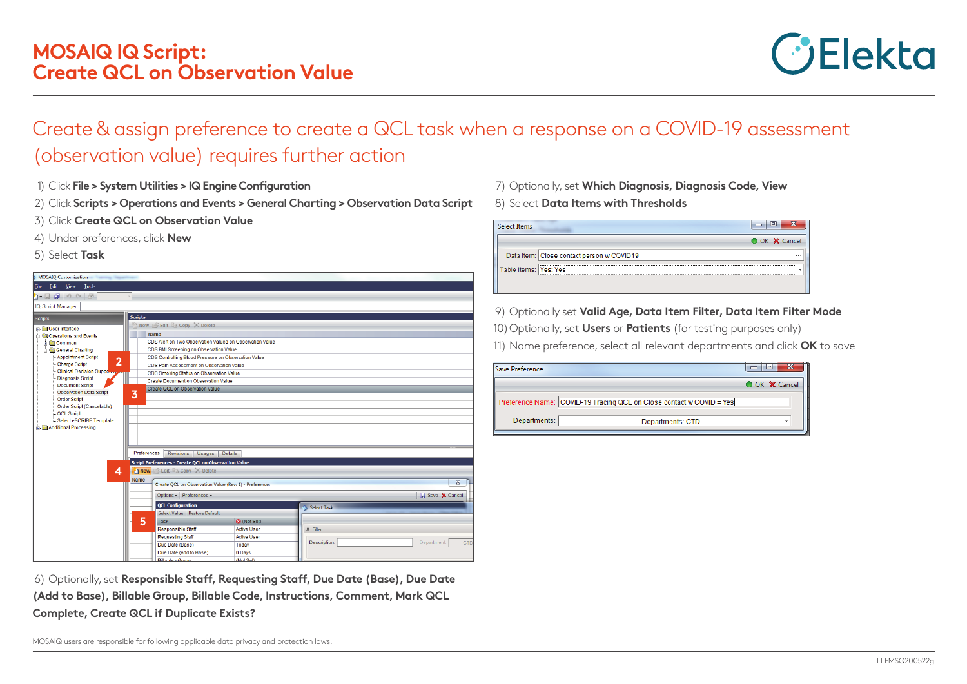

## Create & assign preference to create a QCL task when a response on a COVID-19 assessment (observation value) requires further action

- 1) Click **File > System Utilities > IQ Engine Configuration**
- 2) Click **Scripts > Operations and Events > General Charting > Observation Data Script**
- 3) Click **Create QCL on Observation Value**
- 4) Under preferences, click **New**
- 5) Select **Task**

| <b>MOSAIQ Customization</b><br><b>Service Class</b>                                                                                                                                                                                                                                                                           |                                                             |                    |                  |                      |  |  |
|-------------------------------------------------------------------------------------------------------------------------------------------------------------------------------------------------------------------------------------------------------------------------------------------------------------------------------|-------------------------------------------------------------|--------------------|------------------|----------------------|--|--|
| Edit View Tools<br><b>File</b>                                                                                                                                                                                                                                                                                                |                                                             |                    |                  |                      |  |  |
| $\cdot$ . $\cdot$ . $\cdot$ . $\cdot$ . $\cdot$ . $\cdot$ . $\cdot$ . $\cdot$ . $\cdot$ . $\cdot$ . $\cdot$ . $\cdot$ . $\cdot$ . $\cdot$ . $\cdot$ . $\cdot$ . $\cdot$ . $\cdot$ . $\cdot$ . $\cdot$ . $\cdot$ . $\cdot$ . $\cdot$ . $\cdot$ . $\cdot$ . $\cdot$ . $\cdot$ . $\cdot$ . $\cdot$ . $\cdot$ . $\cdot$ . $\cdot$ |                                                             |                    |                  |                      |  |  |
| IQ Script Manager                                                                                                                                                                                                                                                                                                             |                                                             |                    |                  |                      |  |  |
|                                                                                                                                                                                                                                                                                                                               |                                                             |                    |                  |                      |  |  |
| Scripts                                                                                                                                                                                                                                                                                                                       | <b>Scripts</b>                                              |                    |                  |                      |  |  |
| User Interface                                                                                                                                                                                                                                                                                                                | New <b>Bedit</b> Copy X Delete                              |                    |                  |                      |  |  |
| Operations and Events                                                                                                                                                                                                                                                                                                         | Name                                                        |                    |                  |                      |  |  |
| <b>Common</b>                                                                                                                                                                                                                                                                                                                 | CDS Alert on Two Observation Values on Observation Value    |                    |                  |                      |  |  |
| General Charting                                                                                                                                                                                                                                                                                                              | CDS BMI Screening on Observation Value                      |                    |                  |                      |  |  |
| - Appointment Script<br>$\overline{2}$                                                                                                                                                                                                                                                                                        | CDS Controlling Blood Pressure on Observation Value         |                    |                  |                      |  |  |
| <b>Charge Script</b><br><b>Clinical Decision Suppo</b>                                                                                                                                                                                                                                                                        | CDS Pain Assessment on Observation Value                    |                    |                  |                      |  |  |
| <b>Diagnosis Script</b>                                                                                                                                                                                                                                                                                                       | CDS Smoking Status on Observation Value                     |                    |                  |                      |  |  |
| Document Script                                                                                                                                                                                                                                                                                                               | Create Document on Observation Value                        |                    |                  |                      |  |  |
| <b>Observation Data Script</b>                                                                                                                                                                                                                                                                                                | Create QCL on Observation Value<br>3                        |                    |                  |                      |  |  |
| Order Script                                                                                                                                                                                                                                                                                                                  |                                                             |                    |                  |                      |  |  |
| Order Script (Cancelable)                                                                                                                                                                                                                                                                                                     |                                                             |                    |                  |                      |  |  |
| <b>QCL Script</b>                                                                                                                                                                                                                                                                                                             |                                                             |                    |                  |                      |  |  |
| Select eSCRIBE Template                                                                                                                                                                                                                                                                                                       |                                                             |                    |                  |                      |  |  |
| Additional Processing                                                                                                                                                                                                                                                                                                         |                                                             |                    |                  |                      |  |  |
|                                                                                                                                                                                                                                                                                                                               |                                                             |                    |                  |                      |  |  |
|                                                                                                                                                                                                                                                                                                                               |                                                             |                    |                  |                      |  |  |
|                                                                                                                                                                                                                                                                                                                               | Preferences<br><b>Revisions</b><br>Usages<br><b>Details</b> |                    |                  |                      |  |  |
|                                                                                                                                                                                                                                                                                                                               | <b>Script Preferences - Create OCL on Observation Value</b> |                    |                  |                      |  |  |
| 4                                                                                                                                                                                                                                                                                                                             | 1 New Belit & Copy X Delete                                 |                    |                  |                      |  |  |
|                                                                                                                                                                                                                                                                                                                               | <b>Name</b>                                                 |                    |                  | $\Sigma$             |  |  |
|                                                                                                                                                                                                                                                                                                                               | Create OCL on Observation Value (Rev: 1) - Preference:      |                    |                  |                      |  |  |
|                                                                                                                                                                                                                                                                                                                               | Options - Preferences -                                     |                    |                  | Save <b>X</b> Cancel |  |  |
| <b>OCL Configuration</b>                                                                                                                                                                                                                                                                                                      |                                                             |                    | Select Task      |                      |  |  |
|                                                                                                                                                                                                                                                                                                                               | Select Value Restore Default                                |                    |                  |                      |  |  |
|                                                                                                                                                                                                                                                                                                                               | 5<br><b>Task</b>                                            | <b>3</b> (Not Set) |                  |                      |  |  |
|                                                                                                                                                                                                                                                                                                                               | <b>Responsible Staff</b>                                    | <b>Active User</b> | $\hat{z}$ Filter |                      |  |  |
|                                                                                                                                                                                                                                                                                                                               | <b>Requesting Staff</b>                                     | <b>Active User</b> |                  |                      |  |  |
|                                                                                                                                                                                                                                                                                                                               | Due Date (Base)                                             | Today              | Description:     | Department:<br>CTD   |  |  |
|                                                                                                                                                                                                                                                                                                                               | Due Date (Add to Base)                                      | 0 Days             |                  |                      |  |  |
|                                                                                                                                                                                                                                                                                                                               | <b>Billahle - Croun</b>                                     | (Not Set)          |                  |                      |  |  |

7) Optionally, set **Which Diagnosis, Diagnosis Code, View**  8) Select **Data Items with Thresholds** 

| Select Items                              |               |
|-------------------------------------------|---------------|
|                                           | O OK X Cancel |
| Data Item: Close contact person w COVID19 |               |
| Table Items:   Yes: Yes                   |               |
|                                           |               |

9) Optionally set **Valid Age, Data Item Filter, Data Item Filter Mode**

10) Optionally, set **Users** or **Patients** (for testing purposes only)

11) Name preference, select all relevant departments and click **OK** to save

| Save Preference                                                      | Ξ<br>23       |
|----------------------------------------------------------------------|---------------|
|                                                                      | O OK X Cancel |
| Preference Name: COVID-19 Tracing QCL on Close contact w COVID = Yes |               |
| Departments:<br>Departments: CTD                                     |               |

6) Optionally, set **Responsible Staff, Requesting Staff, Due Date (Base), Due Date (Add to Base), Billable Group, Billable Code, Instructions, Comment, Mark QCL Complete, Create QCL if Duplicate Exists?**

MOSAIQ users are responsible for following applicable data privacy and protection laws.